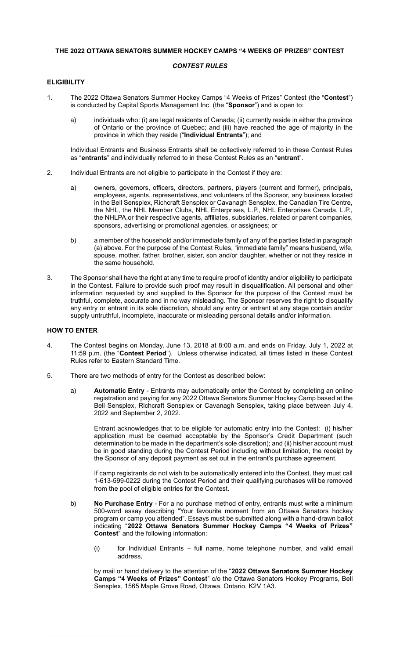### **THE 2022 OTTAWA SENATORS SUMMER HOCKEY CAMPS "4 WEEKS OF PRIZES" CONTEST**

### *CONTEST RULES*

## **ELIGIBILITY**

- 1. The 2022 Ottawa Senators Summer Hockey Camps "4 Weeks of Prizes" Contest (the "**Contest**") is conducted by Capital Sports Management Inc. (the "**Sponsor**") and is open to:
	- a) individuals who: (i) are legal residents of Canada; (ii) currently reside in either the province of Ontario or the province of Quebec; and (iii) have reached the age of majority in the province in which they reside ("**Individual Entrants**"); and

Individual Entrants and Business Entrants shall be collectively referred to in these Contest Rules as "**entrants**" and individually referred to in these Contest Rules as an "**entrant**".

- 2. Individual Entrants are not eligible to participate in the Contest if they are:
	- a) owners, governors, officers, directors, partners, players (current and former), principals, employees, agents, representatives, and volunteers of the Sponsor, any business located in the Bell Sensplex, Richcraft Sensplex or Cavanagh Sensplex, the Canadian Tire Centre, the NHL, the NHL Member Clubs, NHL Enterprises, L.P., NHL Enterprises Canada, L.P., the NHLPA,or their respective agents, affiliates, subsidiaries, related or parent companies, sponsors, advertising or promotional agencies, or assignees; or
	- b) a member of the household and/or immediate family of any of the parties listed in paragraph (a) above. For the purpose of the Contest Rules, "immediate family" means husband, wife, spouse, mother, father, brother, sister, son and/or daughter, whether or not they reside in the same household.
- 3. The Sponsor shall have the right at any time to require proof of identity and/or eligibility to participate in the Contest. Failure to provide such proof may result in disqualification. All personal and other information requested by and supplied to the Sponsor for the purpose of the Contest must be truthful, complete, accurate and in no way misleading. The Sponsor reserves the right to disqualify any entry or entrant in its sole discretion, should any entry or entrant at any stage contain and/or supply untruthful, incomplete, inaccurate or misleading personal details and/or information.

# **HOW TO ENTER**

- 4. The Contest begins on Monday, June 13, 2018 at 8:00 a.m. and ends on Friday, July 1, 2022 at 11:59 p.m. (the "**Contest Period**"). Unless otherwise indicated, all times listed in these Contest Rules refer to Eastern Standard Time.
- 5. There are two methods of entry for the Contest as described below:
	- a) **Automatic Entry** Entrants may automatically enter the Contest by completing an online registration and paying for any 2022 Ottawa Senators Summer Hockey Camp based at the Bell Sensplex, Richcraft Sensplex or Cavanagh Sensplex, taking place between July 4, 2022 and September 2, 2022.

Entrant acknowledges that to be eligible for automatic entry into the Contest: (i) his/her application must be deemed acceptable by the Sponsor's Credit Department (such determination to be made in the department's sole discretion); and (ii) his/her account must be in good standing during the Contest Period including without limitation, the receipt by the Sponsor of any deposit payment as set out in the entrant's purchase agreement.

If camp registrants do not wish to be automatically entered into the Contest, they must call 1-613-599-0222 during the Contest Period and their qualifying purchases will be removed from the pool of eligible entries for the Contest.

- b) **No Purchase Entry** For a no purchase method of entry, entrants must write a minimum 500-word essay describing "Your favourite moment from an Ottawa Senators hockey program or camp you attended". Essays must be submitted along with a hand-drawn ballot indicating "**2022 Ottawa Senators Summer Hockey Camps "4 Weeks of Prizes" Contest**" and the following information:
	- (i) for Individual Entrants full name, home telephone number, and valid email address,

by mail or hand delivery to the attention of the "**2022 Ottawa Senators Summer Hockey Camps "4 Weeks of Prizes" Contest**" c/o the Ottawa Senators Hockey Programs, Bell Sensplex, 1565 Maple Grove Road, Ottawa, Ontario, K2V 1A3.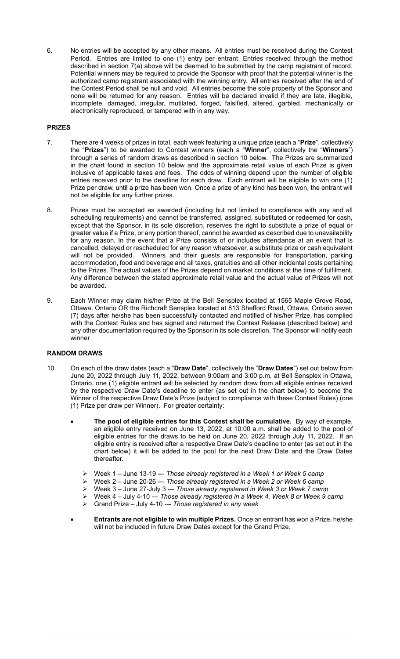6. No entries will be accepted by any other means. All entries must be received during the Contest Period. Entries are limited to one (1) entry per entrant. Entries received through the method described in section 7(a) above will be deemed to be submitted by the camp registrant of record. Potential winners may be required to provide the Sponsor with proof that the potential winner is the authorized camp registrant associated with the winning entry. All entries received after the end of the Contest Period shall be null and void. All entries become the sole property of the Sponsor and none will be returned for any reason. Entries will be declared invalid if they are late, illegible, incomplete, damaged, irregular, mutilated, forged, falsified, altered, garbled, mechanically or electronically reproduced, or tampered with in any way.

## **PRIZES**

- 7. There are 4 weeks of prizes in total, each week featuring a unique prize (each a "**Prize**", collectively the "**Prizes**") to be awarded to Contest winners (each a "**Winner**", collectively the "**Winners**") through a series of random draws as described in section 10 below. The Prizes are summarized in the chart found in section 10 below and the approximate retail value of each Prize is given inclusive of applicable taxes and fees. The odds of winning depend upon the number of eligible entries received prior to the deadline for each draw. Each entrant will be eligible to win one (1) Prize per draw, until a prize has been won. Once a prize of any kind has been won, the entrant will not be eligible for any further prizes.
- 8. Prizes must be accepted as awarded (including but not limited to compliance with any and all scheduling requirements) and cannot be transferred, assigned, substituted or redeemed for cash, except that the Sponsor, in its sole discretion, reserves the right to substitute a prize of equal or greater value if a Prize, or any portion thereof, cannot be awarded as described due to unavailability for any reason. In the event that a Prize consists of or includes attendance at an event that is cancelled, delayed or rescheduled for any reason whatsoever, a substitute prize or cash equivalent will not be provided. Winners and their guests are responsible for transportation, parking accommodation, food and beverage and all taxes, gratuities and all other incidental costs pertaining to the Prizes. The actual values of the Prizes depend on market conditions at the time of fulfilment. Any difference between the stated approximate retail value and the actual value of Prizes will not be awarded.
- 9. Each Winner may claim his/her Prize at the Bell Sensplex located at 1565 Maple Grove Road, Ottawa, Ontario OR the Richcraft Sensplex located at 813 Shefford Road, Ottawa, Ontario seven (7) days after he/she has been successfully contacted and notified of his/her Prize, has complied with the Contest Rules and has signed and returned the Contest Release (described below) and any other documentation required by the Sponsor in its sole discretion. The Sponsor will notify each winner

## **RANDOM DRAWS**

- 10. On each of the draw dates (each a "**Draw Date**", collectively the "**Draw Dates**") set out below from June 20, 2022 through July 11, 2022, between 9:00am and 3:00 p.m. at Bell Sensplex in Ottawa, Ontario, one (1) eligible entrant will be selected by random draw from all eligible entries received by the respective Draw Date's deadline to enter (as set out in the chart below) to become the Winner of the respective Draw Date's Prize (subject to compliance with these Contest Rules) (one (1) Prize per draw per Winner). For greater certainty:
	- **The pool of eligible entries for this Contest shall be cumulative.** By way of example, an eligible entry received on June 13, 2022, at 10:00 a.m. shall be added to the pool of eligible entries for the draws to be held on June 20, 2022 through July 11, 2022. If an eligible entry is received after a respective Draw Date's deadline to enter (as set out in the chart below) it will be added to the pool for the next Draw Date and the Draw Dates thereafter.
		- ➢ Week 1 June 13-19 --- *Those already registered in a Week 1 or Week 5 camp*
		- ➢ Week 2 June 20-26 --- *Those already registered in a Week 2 or Week 6 camp*
		- ➢ Week 3 June 27-July 3 --- *Those already registered in Week 3 or Week 7 camp*
		- ➢ Week 4 July 4-10 --- *Those already registered in a Week 4, Week 8 or Week 9 camp*
		- ➢ Grand Prize July 4-10 --- *Those registered in any week*
	- **Entrants are not eligible to win multiple Prizes.** Once an entrant has won a Prize, he/she will not be included in future Draw Dates except for the Grand Prize.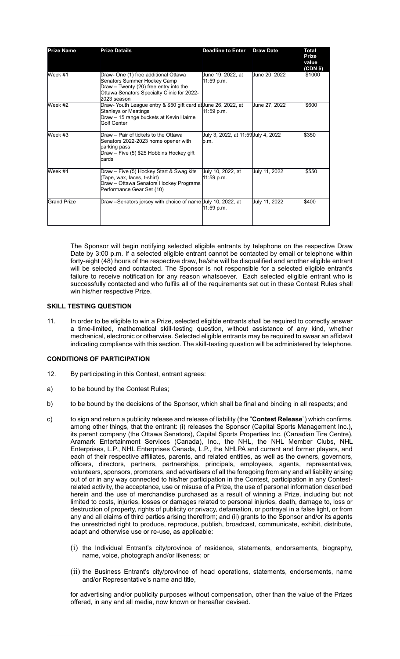| <b>Prize Name</b>  | <b>Prize Details</b>                                                                                                                                                       | <b>Deadline to Enter</b>                   | <b>Draw Date</b> | <b>Total</b><br><b>Prize</b><br>value<br>(CDN \$) |
|--------------------|----------------------------------------------------------------------------------------------------------------------------------------------------------------------------|--------------------------------------------|------------------|---------------------------------------------------|
| Week #1            | Draw- One (1) free additional Ottawa<br>Senators Summer Hockey Camp<br>Draw - Twenty (20) free entry into the<br>Ottawa Senators Specialty Clinic for 2022-<br>2023 season | June 19, 2022, at<br>11:59 p.m.            | June 20, 2022    | \$1000                                            |
| Week #2            | Draw- Youth League entry & \$50 gift card at June 26, 2022, at<br><b>Stanleys or Meatings</b><br>Draw - 15 range buckets at Kevin Haime<br>Golf Center                     | 11:59 p.m.                                 | June 27, 2022    | \$600                                             |
| Week #3            | Draw – Pair of tickets to the Ottawa<br>Senators 2022-2023 home opener with<br>parking pass<br>Draw - Five (5) \$25 Hobbins Hockey gift<br>cards                           | July 3, 2022, at 11:59Uuly 4, 2022<br>p.m. |                  | \$350                                             |
| Week #4            | Draw - Five (5) Hockey Start & Swag kits<br>Tape, wax, laces, t-shirt)<br>Draw - Ottawa Senators Hockey Programs<br>Performance Gear Set (10)                              | July 10, 2022, at<br>11:59 p.m.            | July 11, 2022    | \$550                                             |
| <b>Grand Prize</b> | Draw –Senators jersey with choice of name Uuly 10, 2022, at                                                                                                                | 11:59 p.m.                                 | July 11, 2022    | \$400                                             |

The Sponsor will begin notifying selected eligible entrants by telephone on the respective Draw Date by 3:00 p.m. If a selected eligible entrant cannot be contacted by email or telephone within forty-eight (48) hours of the respective draw, he/she will be disqualified and another eligible entrant will be selected and contacted. The Sponsor is not responsible for a selected eligible entrant's failure to receive notification for any reason whatsoever. Each selected eligible entrant who is successfully contacted and who fulfils all of the requirements set out in these Contest Rules shall win his/her respective Prize.

#### **SKILL TESTING QUESTION**

11. In order to be eligible to win a Prize, selected eligible entrants shall be required to correctly answer a time-limited, mathematical skill-testing question, without assistance of any kind, whether mechanical, electronic or otherwise. Selected eligible entrants may be required to swear an affidavit indicating compliance with this section. The skill-testing question will be administered by telephone.

### **CONDITIONS OF PARTICIPATION**

- 12. By participating in this Contest, entrant agrees:
- a) to be bound by the Contest Rules;
- b) to be bound by the decisions of the Sponsor, which shall be final and binding in all respects; and
- c) to sign and return a publicity release and release of liability (the "**Contest Release**") which confirms, among other things, that the entrant: (i) releases the Sponsor (Capital Sports Management Inc.), its parent company (the Ottawa Senators), Capital Sports Properties Inc. (Canadian Tire Centre), Aramark Entertainment Services (Canada), Inc., the NHL, the NHL Member Clubs, NHL Enterprises, L.P., NHL Enterprises Canada, L.P., the NHLPA and current and former players, and each of their respective affiliates, parents, and related entities, as well as the owners, governors, officers, directors, partners, partnerships, principals, employees, agents, representatives, volunteers, sponsors, promoters, and advertisers of all the foregoing from any and all liability arising out of or in any way connected to his/her participation in the Contest, participation in any Contestrelated activity, the acceptance, use or misuse of a Prize, the use of personal information described herein and the use of merchandise purchased as a result of winning a Prize, including but not limited to costs, injuries, losses or damages related to personal injuries, death, damage to, loss or destruction of property, rights of publicity or privacy, defamation, or portrayal in a false light, or from any and all claims of third parties arising therefrom; and (ii) grants to the Sponsor and/or its agents the unrestricted right to produce, reproduce, publish, broadcast, communicate, exhibit, distribute, adapt and otherwise use or re-use, as applicable:
	- (i) the Individual Entrant's city/province of residence, statements, endorsements, biography, name, voice, photograph and/or likeness; or
	- (ii) the Business Entrant's city/province of head operations, statements, endorsements, name and/or Representative's name and title,

for advertising and/or publicity purposes without compensation, other than the value of the Prizes offered, in any and all media, now known or hereafter devised.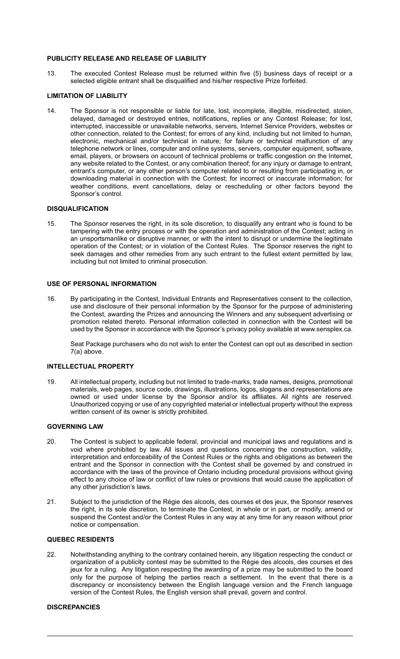## **PUBLICITY RELEASE AND RELEASE OF LIABILITY**

13. The executed Contest Release must be returned within five (5) business days of receipt or a selected eligible entrant shall be disqualified and his/her respective Prize forfeited.

# **LIMITATION OF LIABILITY**

14. The Sponsor is not responsible or liable for late, lost, incomplete, illegible, misdirected, stolen, delayed, damaged or destroyed entries, notifications, replies or any Contest Release; for lost, interrupted, inaccessible or unavailable networks, servers, Internet Service Providers, websites or other connection, related to the Contest; for errors of any kind, including but not limited to human, electronic, mechanical and/or technical in nature; for failure or technical malfunction of any telephone network or lines, computer and online systems, servers, computer equipment, software, email, players, or browsers on account of technical problems or traffic congestion on the Internet, any website related to the Contest, or any combination thereof; for any injury or damage to entrant, entrant's computer, or any other person's computer related to or resulting from participating in, or downloading material in connection with the Contest; for incorrect or inaccurate information; for weather conditions, event cancellations, delay or rescheduling or other factors beyond the Sponsor's control.

## **DISQUALIFICATION**

15. The Sponsor reserves the right, in its sole discretion, to disqualify any entrant who is found to be tampering with the entry process or with the operation and administration of the Contest; acting in an unsportsmanlike or disruptive manner, or with the intent to disrupt or undermine the legitimate operation of the Contest; or in violation of the Contest Rules. The Sponsor reserves the right to seek damages and other remedies from any such entrant to the fullest extent permitted by law, including but not limited to criminal prosecution.

### **USE OF PERSONAL INFORMATION**

16. By participating in the Contest, Individual Entrants and Representatives consent to the collection, use and disclosure of their personal information by the Sponsor for the purpose of administering the Contest, awarding the Prizes and announcing the Winners and any subsequent advertising or promotion related thereto. Personal information collected in connection with the Contest will be used by the Sponsor in accordance with the Sponsor's privacy policy available at www.sensplex.ca.

Seat Package purchasers who do not wish to enter the Contest can opt out as described in section 7(a) above.

## **INTELLECTUAL PROPERTY**

19. All intellectual property, including but not limited to trade-marks, trade names, designs, promotional materials, web pages, source code, drawings, illustrations, logos, slogans and representations are owned or used under license by the Sponsor and/or its affiliates. All rights are reserved. Unauthorized copying or use of any copyrighted material or intellectual property without the express written consent of its owner is strictly prohibited.

## **GOVERNING LAW**

- 20. The Contest is subject to applicable federal, provincial and municipal laws and regulations and is void where prohibited by law. All issues and questions concerning the construction, validity, interpretation and enforceability of the Contest Rules or the rights and obligations as between the entrant and the Sponsor in connection with the Contest shall be governed by and construed in accordance with the laws of the province of Ontario including procedural provisions without giving effect to any choice of law or conflict of law rules or provisions that would cause the application of any other jurisdiction's laws.
- 21. Subject to the jurisdiction of the Régie des alcools, des courses et des jeux, the Sponsor reserves the right, in its sole discretion, to terminate the Contest, in whole or in part, or modify, amend or suspend the Contest and/or the Contest Rules in any way at any time for any reason without prior notice or compensation.

#### **QUEBEC RESIDENTS**

22. Notwithstanding anything to the contrary contained herein, any litigation respecting the conduct or organization of a publicity contest may be submitted to the Régie des alcools, des courses et des jeux for a ruling. Any litigation respecting the awarding of a prize may be submitted to the board only for the purpose of helping the parties reach a settlement. In the event that there is a discrepancy or inconsistency between the English language version and the French language version of the Contest Rules, the English version shall prevail, govern and control.

## **DISCREPANCIES**